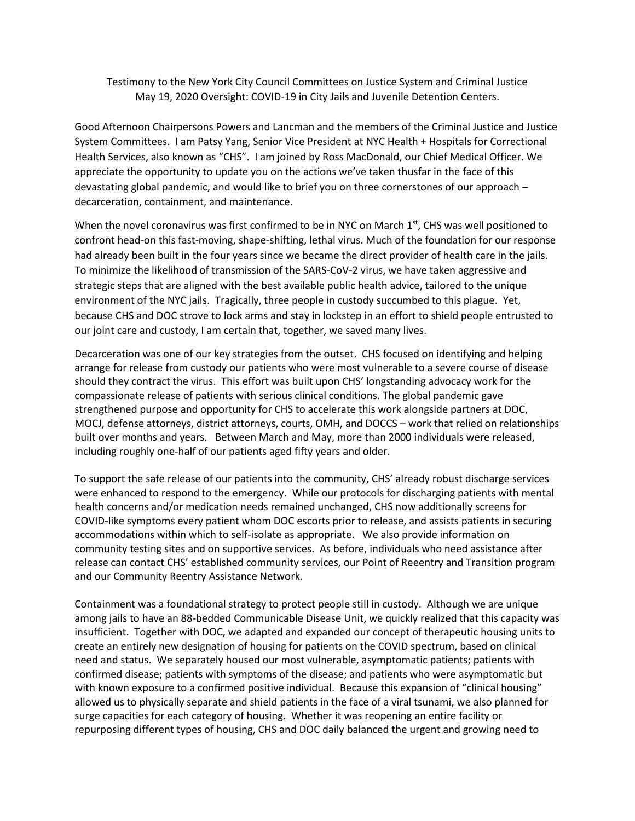Testimony to the New York City Council Committees on Justice System and Criminal Justice May 19, 2020 Oversight: COVID-19 in City Jails and Juvenile Detention Centers.

Good Afternoon Chairpersons Powers and Lancman and the members of the Criminal Justice and Justice System Committees. I am Patsy Yang, Senior Vice President at NYC Health + Hospitals for Correctional Health Services, also known as "CHS". I am joined by Ross MacDonald, our Chief Medical Officer. We appreciate the opportunity to update you on the actions we've taken thusfar in the face of this devastating global pandemic, and would like to brief you on three cornerstones of our approach – decarceration, containment, and maintenance.

When the novel coronavirus was first confirmed to be in NYC on March  $1<sup>st</sup>$ , CHS was well positioned to confront head-on this fast-moving, shape-shifting, lethal virus. Much of the foundation for our response had already been built in the four years since we became the direct provider of health care in the jails. To minimize the likelihood of transmission of the SARS-CoV-2 virus, we have taken aggressive and strategic steps that are aligned with the best available public health advice, tailored to the unique environment of the NYC jails. Tragically, three people in custody succumbed to this plague. Yet, because CHS and DOC strove to lock arms and stay in lockstep in an effort to shield people entrusted to our joint care and custody, I am certain that, together, we saved many lives.

Decarceration was one of our key strategies from the outset. CHS focused on identifying and helping arrange for release from custody our patients who were most vulnerable to a severe course of disease should they contract the virus. This effort was built upon CHS' longstanding advocacy work for the compassionate release of patients with serious clinical conditions. The global pandemic gave strengthened purpose and opportunity for CHS to accelerate this work alongside partners at DOC, MOCJ, defense attorneys, district attorneys, courts, OMH, and DOCCS – work that relied on relationships built over months and years. Between March and May, more than 2000 individuals were released, including roughly one-half of our patients aged fifty years and older.

To support the safe release of our patients into the community, CHS' already robust discharge services were enhanced to respond to the emergency. While our protocols for discharging patients with mental health concerns and/or medication needs remained unchanged, CHS now additionally screens for COVID-like symptoms every patient whom DOC escorts prior to release, and assists patients in securing accommodations within which to self-isolate as appropriate. We also provide information on community testing sites and on supportive services. As before, individuals who need assistance after release can contact CHS' established community services, our Point of Reeentry and Transition program and our Community Reentry Assistance Network.

Containment was a foundational strategy to protect people still in custody. Although we are unique among jails to have an 88-bedded Communicable Disease Unit, we quickly realized that this capacity was insufficient. Together with DOC, we adapted and expanded our concept of therapeutic housing units to create an entirely new designation of housing for patients on the COVID spectrum, based on clinical need and status. We separately housed our most vulnerable, asymptomatic patients; patients with confirmed disease; patients with symptoms of the disease; and patients who were asymptomatic but with known exposure to a confirmed positive individual. Because this expansion of "clinical housing" allowed us to physically separate and shield patients in the face of a viral tsunami, we also planned for surge capacities for each category of housing. Whether it was reopening an entire facility or repurposing different types of housing, CHS and DOC daily balanced the urgent and growing need to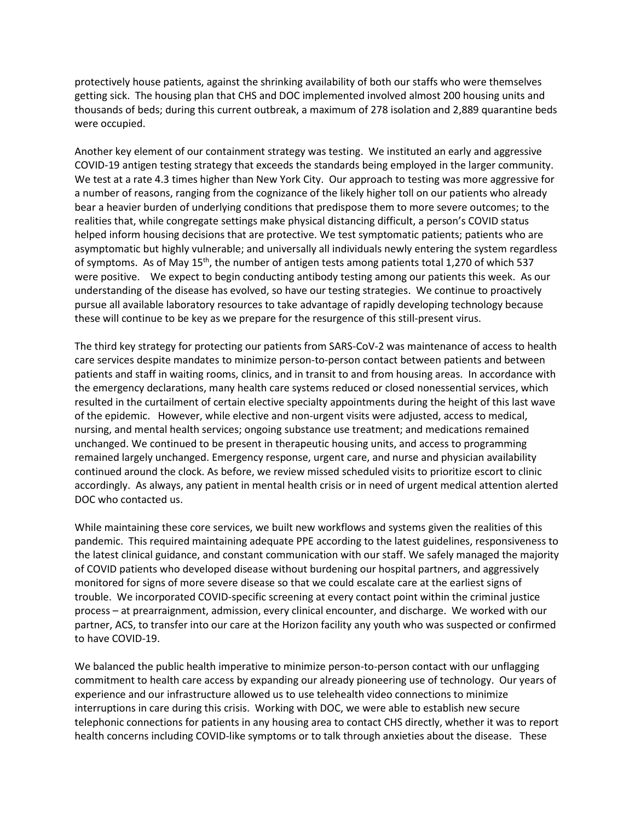protectively house patients, against the shrinking availability of both our staffs who were themselves getting sick. The housing plan that CHS and DOC implemented involved almost 200 housing units and thousands of beds; during this current outbreak, a maximum of 278 isolation and 2,889 quarantine beds were occupied.

Another key element of our containment strategy was testing. We instituted an early and aggressive COVID-19 antigen testing strategy that exceeds the standards being employed in the larger community. We test at a rate 4.3 times higher than New York City. Our approach to testing was more aggressive for a number of reasons, ranging from the cognizance of the likely higher toll on our patients who already bear a heavier burden of underlying conditions that predispose them to more severe outcomes; to the realities that, while congregate settings make physical distancing difficult, a person's COVID status helped inform housing decisions that are protective. We test symptomatic patients; patients who are asymptomatic but highly vulnerable; and universally all individuals newly entering the system regardless of symptoms. As of May 15<sup>th</sup>, the number of antigen tests among patients total 1,270 of which 537 were positive. We expect to begin conducting antibody testing among our patients this week. As our understanding of the disease has evolved, so have our testing strategies. We continue to proactively pursue all available laboratory resources to take advantage of rapidly developing technology because these will continue to be key as we prepare for the resurgence of this still-present virus.

The third key strategy for protecting our patients from SARS-CoV-2 was maintenance of access to health care services despite mandates to minimize person-to-person contact between patients and between patients and staff in waiting rooms, clinics, and in transit to and from housing areas. In accordance with the emergency declarations, many health care systems reduced or closed nonessential services, which resulted in the curtailment of certain elective specialty appointments during the height of this last wave of the epidemic. However, while elective and non-urgent visits were adjusted, access to medical, nursing, and mental health services; ongoing substance use treatment; and medications remained unchanged. We continued to be present in therapeutic housing units, and access to programming remained largely unchanged. Emergency response, urgent care, and nurse and physician availability continued around the clock. As before, we review missed scheduled visits to prioritize escort to clinic accordingly. As always, any patient in mental health crisis or in need of urgent medical attention alerted DOC who contacted us.

While maintaining these core services, we built new workflows and systems given the realities of this pandemic. This required maintaining adequate PPE according to the latest guidelines, responsiveness to the latest clinical guidance, and constant communication with our staff. We safely managed the majority of COVID patients who developed disease without burdening our hospital partners, and aggressively monitored for signs of more severe disease so that we could escalate care at the earliest signs of trouble. We incorporated COVID-specific screening at every contact point within the criminal justice process – at prearraignment, admission, every clinical encounter, and discharge. We worked with our partner, ACS, to transfer into our care at the Horizon facility any youth who was suspected or confirmed to have COVID-19.

We balanced the public health imperative to minimize person-to-person contact with our unflagging commitment to health care access by expanding our already pioneering use of technology. Our years of experience and our infrastructure allowed us to use telehealth video connections to minimize interruptions in care during this crisis. Working with DOC, we were able to establish new secure telephonic connections for patients in any housing area to contact CHS directly, whether it was to report health concerns including COVID-like symptoms or to talk through anxieties about the disease. These